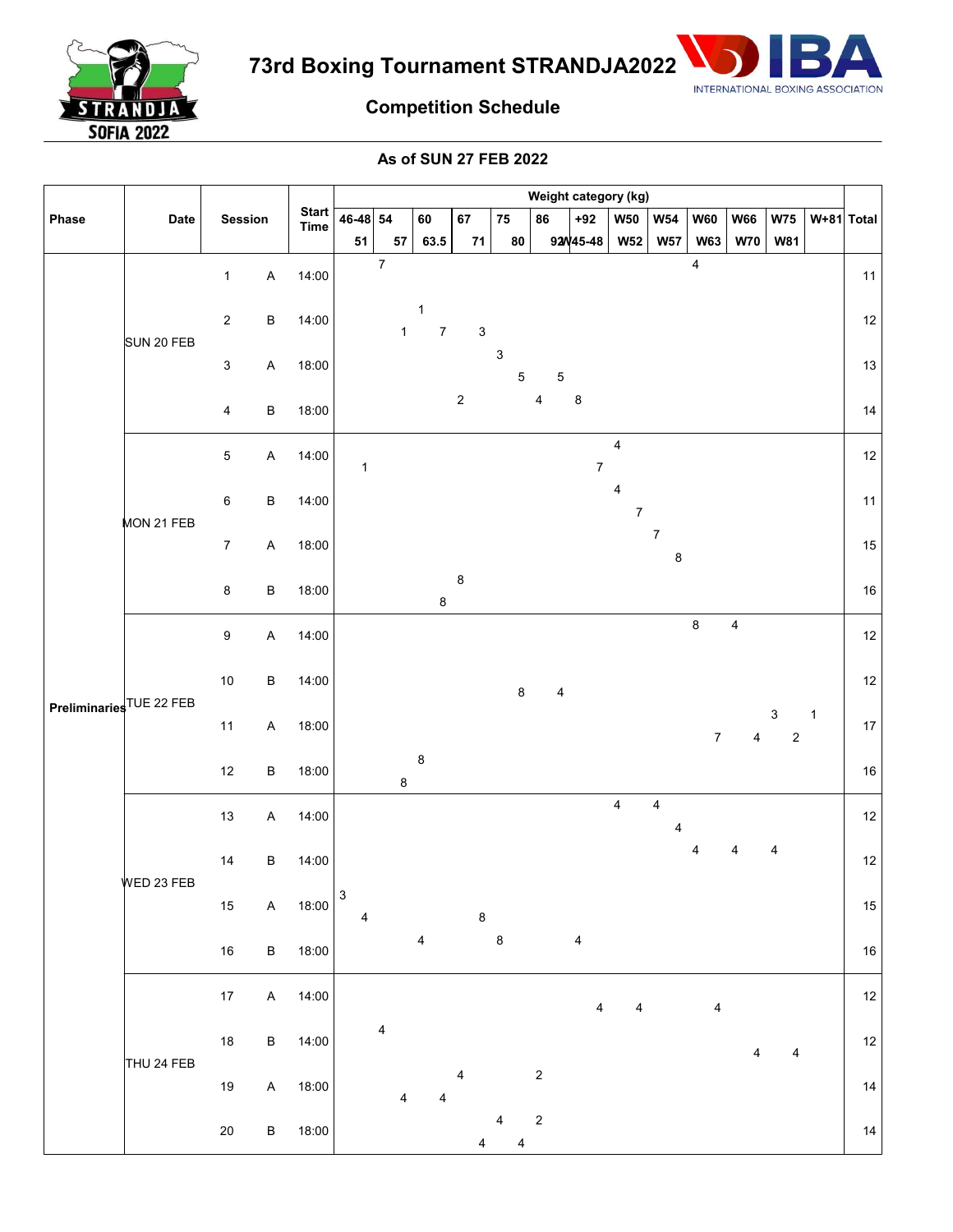

**73rd Boxing Tournament STRANDJA2022**



## **Competition Schedule**

**As of SUN 27 FEB 2022**

| Phase                    | Date       |                                |                             | Weight category (kg) |                  |                                 |             |                  |                                    |                         |                                             |                              |                         |                         |                       |              |        |
|--------------------------|------------|--------------------------------|-----------------------------|----------------------|------------------|---------------------------------|-------------|------------------|------------------------------------|-------------------------|---------------------------------------------|------------------------------|-------------------------|-------------------------|-----------------------|--------------|--------|
|                          |            | Session                        | <b>Start</b><br><b>Time</b> | 46-48 54             |                  | 60                              | 67          | 75               | 86                                 | $+92$                   | W50                                         | <b>W54</b>                   | <b>W60</b>              | <b>W66</b>              | <b>W75</b>            | $W+81$ Total |        |
|                          |            |                                |                             | 51                   | 57               | 63.5                            | ${\bf 71}$  | 80               |                                    | 92W45-48                | <b>W52</b>                                  | <b>W57</b>                   | <b>W63</b>              | <b>W70</b>              | <b>W81</b>            |              |        |
| Preliminaries TUE 22 FEB | SUN 20 FEB | $\sf A$<br>$\mathbf{1}$        | 14:00                       |                      | $\boldsymbol{7}$ |                                 |             |                  |                                    |                         |                                             |                              | 4                       |                         |                       |              | 11     |
|                          |            | $\sqrt{2}$<br>$\sf B$          | 14:00                       |                      | $\mathbf{1}$     | $\mathbf 1$<br>$\boldsymbol{7}$ | $\mathsf 3$ |                  |                                    |                         |                                             |                              |                         |                         |                       |              | $12\,$ |
|                          |            | $\ensuremath{\mathsf{3}}$<br>A | 18:00                       |                      |                  |                                 |             | $\mathsf 3$      | $\mathbf 5$<br>$\mathbf 5$         |                         |                                             |                              |                         |                         |                       |              | $13\,$ |
|                          |            | $\overline{4}$<br>$\sf B$      | 18:00                       |                      |                  |                                 | $\sqrt{2}$  |                  | 4                                  | $\bf8$                  |                                             |                              |                         |                         |                       |              | 14     |
|                          | MON 21 FEB | 5<br>$\sf A$                   | 14:00                       | $\mathbf{1}$         |                  |                                 |             |                  |                                    | $\boldsymbol{7}$        | $\overline{\mathbf{4}}$                     |                              |                         |                         |                       |              | $12\,$ |
|                          |            | $\,6\,$<br>$\sf B$             | 14:00                       |                      |                  |                                 |             |                  |                                    |                         | $\overline{\mathbf{4}}$<br>$\boldsymbol{7}$ |                              |                         |                         |                       |              | 11     |
|                          |            | $\boldsymbol{7}$<br>$\sf A$    | 18:00                       |                      |                  |                                 |             |                  |                                    |                         |                                             | $\boldsymbol{7}$<br>$\bf 8$  |                         |                         |                       |              | $15\,$ |
|                          |            | $\bf 8$<br>$\sf B$             | 18:00                       |                      |                  | $\bf 8$                         | $\bf 8$     |                  |                                    |                         |                                             |                              |                         |                         |                       |              | $16\,$ |
|                          |            | $\boldsymbol{9}$<br>$\sf A$    | 14:00                       |                      |                  |                                 |             |                  |                                    |                         |                                             |                              | $\bf 8$                 | 4                       |                       |              | $12\,$ |
|                          |            | $10\,$<br>$\sf B$              | 14:00                       |                      |                  |                                 |             |                  | $\bf 8$<br>$\overline{\mathbf{4}}$ |                         |                                             |                              |                         |                         |                       |              | $12\,$ |
|                          |            | $11$<br>$\mathsf A$            | 18:00                       |                      |                  |                                 |             |                  |                                    |                         |                                             |                              | $\boldsymbol{7}$        | $\overline{\mathbf{4}}$ | 3<br>$\boldsymbol{2}$ | $\mathbf{1}$ | $17\,$ |
|                          |            | $12\,$<br>$\sf B$              | 18:00                       |                      | $\bf 8$          | $\bf 8$                         |             |                  |                                    |                         |                                             |                              |                         |                         |                       |              | $16\,$ |
|                          | WED 23 FEB | $13$<br>$\sf A$                | 14:00                       |                      |                  |                                 |             |                  |                                    |                         | $\overline{4}$                              | $\overline{\mathbf{4}}$<br>4 |                         |                         |                       |              | $12\,$ |
|                          |            | $\sf B$<br>14                  | 14:00                       |                      |                  |                                 |             |                  |                                    |                         |                                             |                              | 4                       | 4                       | 4                     |              | $12\,$ |
|                          |            | $15\,$<br>$\sf A$              | 18:00                       | 3<br>4               |                  |                                 | $\bf 8$     |                  |                                    |                         |                                             |                              |                         |                         |                       |              | $15\,$ |
|                          |            | $\sf B$<br>$16\,$              | 18:00                       |                      |                  | $\overline{4}$                  |             | $\boldsymbol{8}$ |                                    | $\overline{\mathbf{4}}$ |                                             |                              |                         |                         |                       |              | $16\,$ |
|                          | THU 24 FEB | $17\,$<br>$\sf A$              | 14:00                       |                      |                  |                                 |             |                  |                                    | 4                       | 4                                           |                              | $\overline{\mathbf{4}}$ |                         |                       |              | $12\,$ |
|                          |            | $18\,$<br>$\sf B$              | 14:00                       |                      | 4                |                                 |             |                  |                                    |                         |                                             |                              |                         | 4                       | 4                     |              | $12\,$ |
|                          |            | $19$<br>$\sf A$                | 18:00                       |                      | 4                | 4                               | 4           |                  | $\boldsymbol{2}$                   |                         |                                             |                              |                         |                         |                       |              | 14     |
|                          |            | $\sf B$<br>$20\,$              | 18:00                       |                      |                  |                                 | 4           | 4                | $\boldsymbol{2}$<br>4              |                         |                                             |                              |                         |                         |                       |              | 14     |